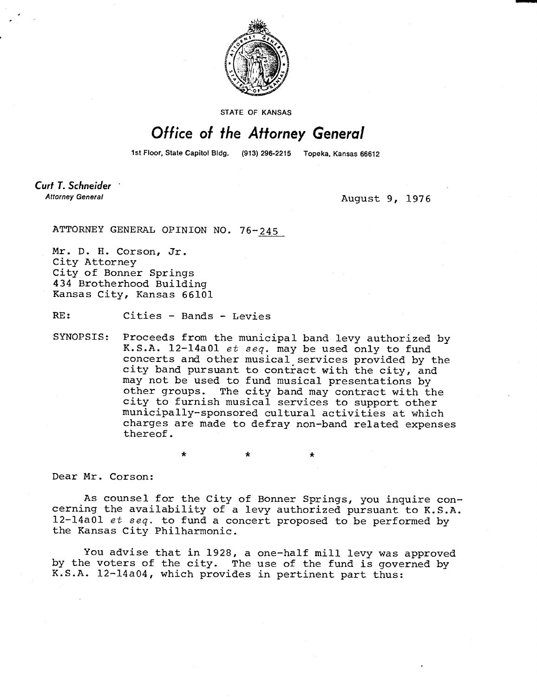

STATE OF KANSAS

## Office of the Attorney General

1st Floor, State Capitol Bldg. (913) 296-2215 Topeka, Kansas 66612

Curt T. Schneider **Attorney General** 

August 9, 1976

ATTORNEY GENERAL OPINION NO. 76-245

Mr. D. H. Corson, Jr. City Attorney City of Bonner Springs 434 Brotherhood Building Kansas City, Kansas 66101

RE: Cities - Bands - Levies

SYNOPSIS: Proceeds from the municipal band levy authorized by K.S.A. 12-14a01 et seq. may be used only to fund concerts and other musical services provided by the city band pursuant to contract with the city, and may not be used to fund musical presentations by other groups. The city band may contract with the city to furnish musical services to support other municipally-sponsored cultural activities at which charges are made to defray non-band related expenses thereof.

\* \*

Dear Mr. Corson:

As counsel for the City of Bonner Springs, you inquire concerning the availability of a levy authorized pursuant to K.S.A. 12-14a01 et seq. to fund a concert proposed to be performed by the Kansas City Philharmonic.

You advise that in 1928, a one-half mill levy was approved by the voters of the city. The use of the fund is governed by K.S.A. 12-14a04, which provides in pertinent part thus: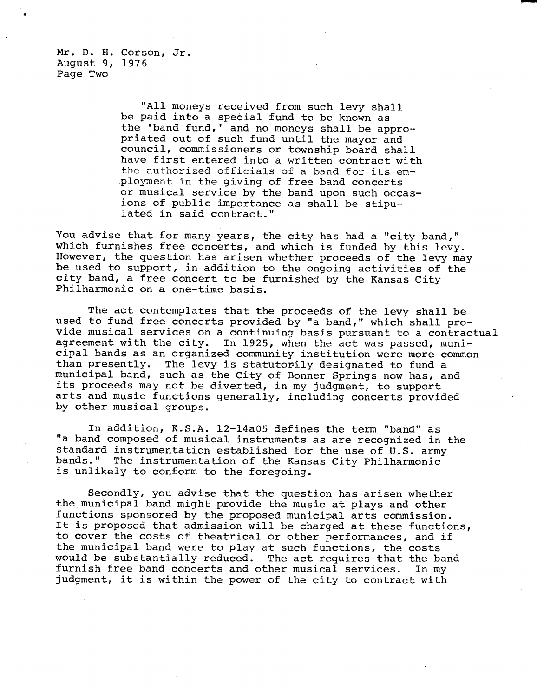Mr. D. H. Corson, Jr. August 9, 1976 Page Two

> "All moneys received from such levy shall be paid into a special fund to be known as the 'band fund,' and no moneys shall be appropriated out of such fund until the mayor and council, commissioners or township board shall have first entered into a written contract with the authorized officials of a band for its employment in the giving of free band concerts or musical service by the band upon such occasions of public importance as shall be stipulated in said contract."

You advise that for many years, the city has had a "city band," which furnishes free concerts, and which is funded by this levy. However, the question has arisen whether proceeds of the levy may be used to support, in addition to the ongoing activities of the city band, a free concert to be furnished by the Kansas City Philharmonic on a one-time basis.

The act contemplates that the proceeds of the levy shall be used to fund free concerts provided by "a band," which shall provide musical services on a continuing basis pursuant to a contractual agreement with the city. In 1925, when the act was passed, municipal bands as an organized community institution were more common than presently. The levy is statutorily designated to fund a municipal band, such as the City of Bonner Springs now has, and its proceeds may not be diverted, in my judgment, to support arts and music functions generally, including concerts provided by other musical groups.

In addition, K.S.A. 12-14a05 defines the term "band" as "a band composed of musical instruments as are recognized in the standard instrumentation established for the use of U.S. army bands." The instrumentation of the Kansas City Philharmonic is unlikely to conform to the foregoing.

Secondly, you advise that the question has arisen whether the municipal band might provide the music at plays and other functions sponsored by the proposed municipal arts commission. It is proposed that admission will be charged at these functions, to cover the costs of theatrical or other performances, and if the municipal band were to play at such functions, the costs would be substantially reduced. The act requires that the band furnish free band concerts and other musical services. In my judgment, it is within the power of the city to contract with